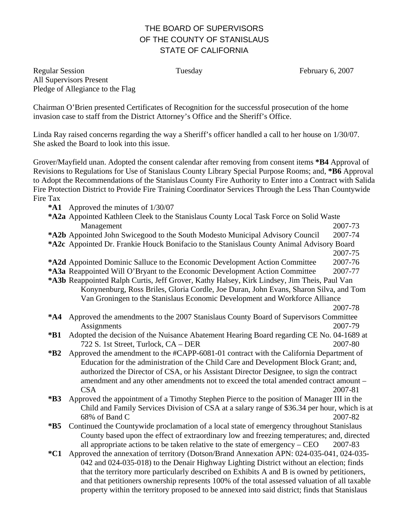## THE BOARD OF SUPERVISORS OF THE COUNTY OF STANISLAUS STATE OF CALIFORNIA

Regular Session Tuesday February 6, 2007 All Supervisors Present Pledge of Allegiance to the Flag

Chairman O'Brien presented Certificates of Recognition for the successful prosecution of the home invasion case to staff from the District Attorney's Office and the Sheriff's Office.

Linda Ray raised concerns regarding the way a Sheriff's officer handled a call to her house on 1/30/07. She asked the Board to look into this issue.

Grover/Mayfield unan. Adopted the consent calendar after removing from consent items **\*B4** Approval of Revisions to Regulations for Use of Stanislaus County Library Special Purpose Rooms; and, **\*B6** Approval to Adopt the Recommendations of the Stanislaus County Fire Authority to Enter into a Contract with Salida Fire Protection District to Provide Fire Training Coordinator Services Through the Less Than Countywide Fire Tax

**\*A1** Approved the minutes of 1/30/07

| *A2a Appointed Kathleen Cleek to the Stanislaus County Local Task Force on Solid Waste      |                                                                                               |                                                                                            |  |
|---------------------------------------------------------------------------------------------|-----------------------------------------------------------------------------------------------|--------------------------------------------------------------------------------------------|--|
|                                                                                             | Management                                                                                    | 2007-73                                                                                    |  |
|                                                                                             | *A2b Appointed John Swicegood to the South Modesto Municipal Advisory Council                 | 2007-74                                                                                    |  |
| *A2c Appointed Dr. Frankie Houck Bonifacio to the Stanislaus County Animal Advisory Board   |                                                                                               |                                                                                            |  |
|                                                                                             |                                                                                               | 2007-75                                                                                    |  |
|                                                                                             | *A2d Appointed Dominic Salluce to the Economic Development Action Committee                   | 2007-76                                                                                    |  |
|                                                                                             | *A3a Reappointed Will O'Bryant to the Economic Development Action Committee                   | 2007-77                                                                                    |  |
| *A3b Reappointed Ralph Curtis, Jeff Grover, Kathy Halsey, Kirk Lindsey, Jim Theis, Paul Van |                                                                                               |                                                                                            |  |
| Konynenburg, Ross Briles, Gloria Cordle, Joe Duran, John Evans, Sharon Silva, and Tom       |                                                                                               |                                                                                            |  |
|                                                                                             | Van Groningen to the Stanislaus Economic Development and Workforce Alliance                   |                                                                                            |  |
|                                                                                             |                                                                                               | 2007-78                                                                                    |  |
| $*AA$                                                                                       | Approved the amendments to the 2007 Stanislaus County Board of Supervisors Committee          |                                                                                            |  |
|                                                                                             | Assignments                                                                                   | 2007-79                                                                                    |  |
| $*B1$                                                                                       | Adopted the decision of the Nuisance Abatement Hearing Board regarding CE No. 04-1689 at      |                                                                                            |  |
|                                                                                             | 722 S. 1st Street, Turlock, CA - DER                                                          | 2007-80                                                                                    |  |
| $*B2$                                                                                       | Approved the amendment to the #CAPP-6081-01 contract with the California Department of        |                                                                                            |  |
|                                                                                             | Education for the administration of the Child Care and Development Block Grant; and,          |                                                                                            |  |
|                                                                                             | authorized the Director of CSA, or his Assistant Director Designee, to sign the contract      |                                                                                            |  |
|                                                                                             | amendment and any other amendments not to exceed the total amended contract amount -          |                                                                                            |  |
|                                                                                             | <b>CSA</b>                                                                                    | 2007-81                                                                                    |  |
| $*B3$                                                                                       |                                                                                               | Approved the appointment of a Timothy Stephen Pierce to the position of Manager III in the |  |
|                                                                                             | Child and Family Services Division of CSA at a salary range of \$36.34 per hour, which is at  |                                                                                            |  |
|                                                                                             | 68% of Band C                                                                                 | 2007-82                                                                                    |  |
| $*B5$                                                                                       | Continued the Countywide proclamation of a local state of emergency throughout Stanislaus     |                                                                                            |  |
|                                                                                             | County based upon the effect of extraordinary low and freezing temperatures; and, directed    |                                                                                            |  |
|                                                                                             | all appropriate actions to be taken relative to the state of emergency $-$ CEO                | 2007-83                                                                                    |  |
| $*C1$                                                                                       | Approved the annexation of territory (Dotson/Brand Annexation APN: 024-035-041, 024-035-      |                                                                                            |  |
|                                                                                             | 042 and 024-035-018) to the Denair Highway Lighting District without an election; finds       |                                                                                            |  |
|                                                                                             | that the territory more particularly described on Exhibits A and B is owned by petitioners,   |                                                                                            |  |
|                                                                                             | and that petitioners ownership represents 100% of the total assessed valuation of all taxable |                                                                                            |  |

property within the territory proposed to be annexed into said district; finds that Stanislaus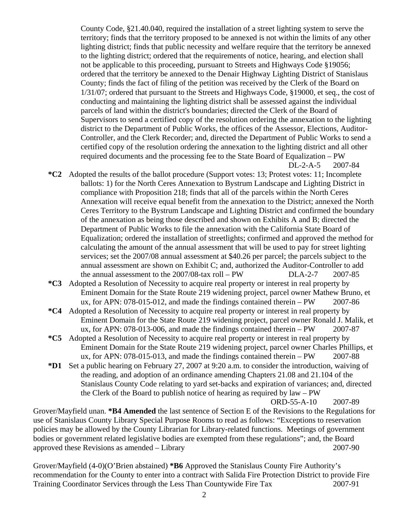County Code, §21.40.040, required the installation of a street lighting system to serve the territory; finds that the territory proposed to be annexed is not within the limits of any other lighting district; finds that public necessity and welfare require that the territory be annexed to the lighting district; ordered that the requirements of notice, hearing, and election shall not be applicable to this proceeding, pursuant to Streets and Highways Code §19056; ordered that the territory be annexed to the Denair Highway Lighting District of Stanislaus County; finds the fact of filing of the petition was received by the Clerk of the Board on 1/31/07; ordered that pursuant to the Streets and Highways Code, §19000, et seq., the cost of conducting and maintaining the lighting district shall be assessed against the individual parcels of land within the district's boundaries; directed the Clerk of the Board of Supervisors to send a certified copy of the resolution ordering the annexation to the lighting district to the Department of Public Works, the offices of the Assessor, Elections, Auditor-Controller, and the Clerk Recorder; and, directed the Department of Public Works to send a certified copy of the resolution ordering the annexation to the lighting district and all other required documents and the processing fee to the State Board of Equalization – PW DL-2-A-5 2007-84

- **\*C2** Adopted the results of the ballot procedure (Support votes: 13; Protest votes: 11; Incomplete ballots: 1) for the North Ceres Annexation to Bystrum Landscape and Lighting District in compliance with Proposition 218; finds that all of the parcels within the North Ceres Annexation will receive equal benefit from the annexation to the District; annexed the North Ceres Territory to the Bystrum Landscape and Lighting District and confirmed the boundary of the annexation as being those described and shown on Exhibits A and B; directed the Department of Public Works to file the annexation with the California State Board of Equalization; ordered the installation of streetlights; confirmed and approved the method for calculating the amount of the annual assessment that will be used to pay for street lighting services; set the 2007/08 annual assessment at \$40.26 per parcel; the parcels subject to the annual assessment are shown on Exhibit C; and, authorized the Auditor-Controller to add the annual assessment to the 2007/08-tax roll – PW DLA-2-7 2007-85
- **\*C3** Adopted a Resolution of Necessity to acquire real property or interest in real property by Eminent Domain for the State Route 219 widening project, parcel owner Mathew Bruno, et ux, for APN: 078-015-012, and made the findings contained therein – PW 2007-86
- **\*C4** Adopted a Resolution of Necessity to acquire real property or interest in real property by Eminent Domain for the State Route 219 widening project, parcel owner Ronald J. Malik, et ux, for APN: 078-013-006, and made the findings contained therein – PW 2007-87
- **\*C5** Adopted a Resolution of Necessity to acquire real property or interest in real property by Eminent Domain for the State Route 219 widening project, parcel owner Charles Phillips, et ux, for APN: 078-015-013, and made the findings contained therein – PW 2007-88
- **\*D1** Set a public hearing on February 27, 2007 at 9:20 a.m. to consider the introduction, waiving of the reading, and adoption of an ordinance amending Chapters 21.08 and 21.104 of the Stanislaus County Code relating to yard set-backs and expiration of variances; and, directed the Clerk of the Board to publish notice of hearing as required by law – PW

ORD-55-A-10 2007-89

Grover/Mayfield unan. **\*B4 Amended** the last sentence of Section E of the Revisions to the Regulations for use of Stanislaus County Library Special Purpose Rooms to read as follows: "Exceptions to reservation policies may be allowed by the County Librarian for Library-related functions. Meetings of government bodies or government related legislative bodies are exempted from these regulations"; and, the Board approved these Revisions as amended – Library 2007-90

Grover/Mayfield (4-0)(O'Brien abstained) **\*B6** Approved the Stanislaus County Fire Authority's recommendation for the County to enter into a contract with Salida Fire Protection District to provide Fire Training Coordinator Services through the Less Than Countywide Fire Tax 2007-91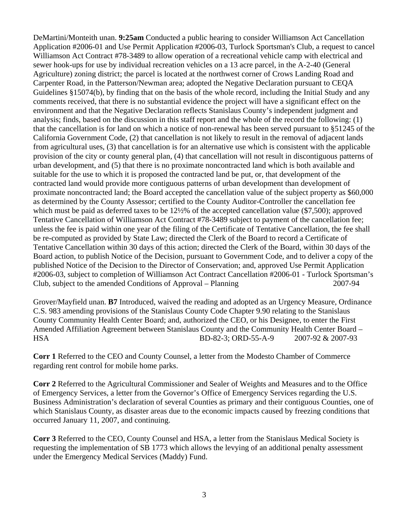DeMartini/Monteith unan. **9:25am** Conducted a public hearing to consider Williamson Act Cancellation Application #2006-01 and Use Permit Application #2006-03, Turlock Sportsman's Club, a request to cancel Williamson Act Contract #78-3489 to allow operation of a recreational vehicle camp with electrical and sewer hook-ups for use by individual recreation vehicles on a 13 acre parcel, in the A-2-40 (General Agriculture) zoning district; the parcel is located at the northwest corner of Crows Landing Road and Carpenter Road, in the Patterson/Newman area; adopted the Negative Declaration pursuant to CEQA Guidelines §15074(b), by finding that on the basis of the whole record, including the Initial Study and any comments received, that there is no substantial evidence the project will have a significant effect on the environment and that the Negative Declaration reflects Stanislaus County's independent judgment and analysis; finds, based on the discussion in this staff report and the whole of the record the following: (1) that the cancellation is for land on which a notice of non-renewal has been served pursuant to §51245 of the California Government Code, (2) that cancellation is not likely to result in the removal of adjacent lands from agricultural uses, (3) that cancellation is for an alternative use which is consistent with the applicable provision of the city or county general plan, (4) that cancellation will not result in discontiguous patterns of urban development, and (5) that there is no proximate noncontracted land which is both available and suitable for the use to which it is proposed the contracted land be put, or, that development of the contracted land would provide more contiguous patterns of urban development than development of proximate noncontracted land; the Board accepted the cancellation value of the subject property as \$60,000 as determined by the County Assessor; certified to the County Auditor-Controller the cancellation fee which must be paid as deferred taxes to be 12½% of the accepted cancellation value (\$7,500); approved Tentative Cancellation of Williamson Act Contract #78-3489 subject to payment of the cancellation fee; unless the fee is paid within one year of the filing of the Certificate of Tentative Cancellation, the fee shall be re-computed as provided by State Law; directed the Clerk of the Board to record a Certificate of Tentative Cancellation within 30 days of this action; directed the Clerk of the Board, within 30 days of the Board action, to publish Notice of the Decision, pursuant to Government Code, and to deliver a copy of the published Notice of the Decision to the Director of Conservation; and, approved Use Permit Application #2006-03, subject to completion of Williamson Act Contract Cancellation #2006-01 - Turlock Sportsman's Club, subject to the amended Conditions of Approval – Planning 2007-94

Grover/Mayfield unan. **B7** Introduced, waived the reading and adopted as an Urgency Measure, Ordinance C.S. 983 amending provisions of the Stanislaus County Code Chapter 9.90 relating to the Stanislaus County Community Health Center Board; and, authorized the CEO, or his Designee, to enter the First Amended Affiliation Agreement between Stanislaus County and the Community Health Center Board – HSA BD-82-3; ORD-55-A-9 2007-92 & 2007-93

**Corr 1** Referred to the CEO and County Counsel, a letter from the Modesto Chamber of Commerce regarding rent control for mobile home parks.

**Corr 2** Referred to the Agricultural Commissioner and Sealer of Weights and Measures and to the Office of Emergency Services, a letter from the Governor's Office of Emergency Services regarding the U.S. Business Administration's declaration of several Counties as primary and their contiguous Counties, one of which Stanislaus County, as disaster areas due to the economic impacts caused by freezing conditions that occurred January 11, 2007, and continuing.

**Corr 3** Referred to the CEO, County Counsel and HSA, a letter from the Stanislaus Medical Society is requesting the implementation of SB 1773 which allows the levying of an additional penalty assessment under the Emergency Medical Services (Maddy) Fund.